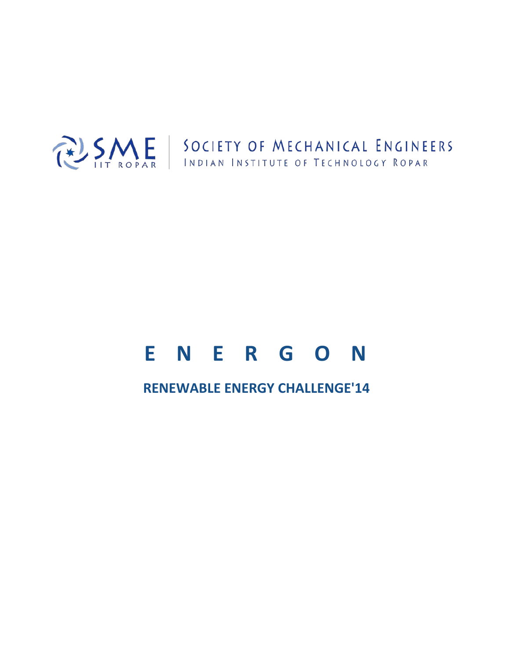

# **ENERGON**

# **RENEWABLE ENERGY CHALLENGE'14**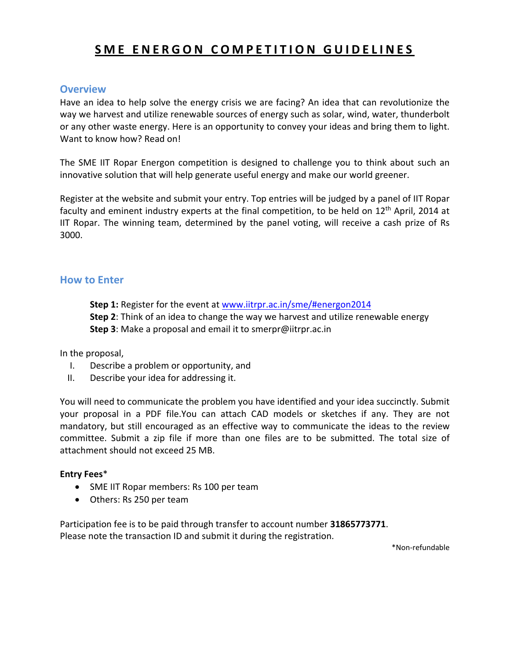# **S M E ENERGON COMPETITION GUIDELINES**

## **Overview**

Have an idea to help solve the energy crisis we are facing? An idea that can revolutionize the way we harvest and utilize renewable sources of energy such as solar, wind, water, thunderbolt or any other waste energy. Here is an opportunity to convey your ideas and bring them to light. Want to know how? Read on!

The SME IIT Ropar Energon competition is designed to challenge you to think about such an innovative solution that will help generate useful energy and make our world greener.

Register at the website and submit your entry. Top entries will be judged by a panel of IIT Ropar faculty and eminent industry experts at the final competition, to be held on  $12<sup>th</sup>$  April, 2014 at IIT Ropar. The winning team, determined by the panel voting, will receive a cash prize of Rs 3000.

#### **How to Enter**

**Step 1:** Register for the event at [www.iitrpr.ac.in/sme/#energon2014](http://www.iitrpr.ac.in/sme/%23energon2014)

**Step 2**: Think of an idea to change the way we harvest and utilize renewable energy **Step 3**: Make a proposal and email it to smerpr@iitrpr.ac.in

In the proposal,

- I. Describe a problem or opportunity, and
- II. Describe your idea for addressing it.

You will need to communicate the problem you have identified and your idea succinctly. Submit your proposal in a PDF file.You can attach CAD models or sketches if any. They are not mandatory, but still encouraged as an effective way to communicate the ideas to the review committee. Submit a zip file if more than one files are to be submitted. The total size of attachment should not exceed 25 MB.

#### **Entry Fees**\*

- SME IIT Ropar members: Rs 100 per team
- Others: Rs 250 per team

Participation fee is to be paid through transfer to account number **31865773771**. Please note the transaction ID and submit it during the registration.

\*Non-refundable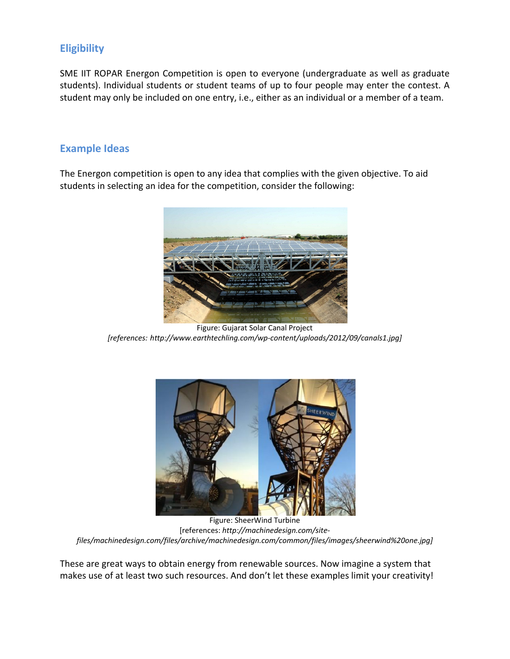# **Eligibility**

SME IIT ROPAR Energon Competition is open to everyone (undergraduate as well as graduate students). Individual students or student teams of up to four people may enter the contest. A student may only be included on one entry, i.e., either as an individual or a member of a team.

## **Example Ideas**

The Energon competition is open to any idea that complies with the given objective. To aid students in selecting an idea for the competition, consider the following:



Figure: Gujarat Solar Canal Project *[references: http://www.earthtechling.com/wp-content/uploads/2012/09/canals1.jpg]*



 Figure: SheerWind Turbine [references: *http://machinedesign.com/sitefiles/machinedesign.com/files/archive/machinedesign.com/common/files/images/sheerwind%20one.jpg]*

These are great ways to obtain energy from renewable sources. Now imagine a system that makes use of at least two such resources. And don't let these examples limit your creativity!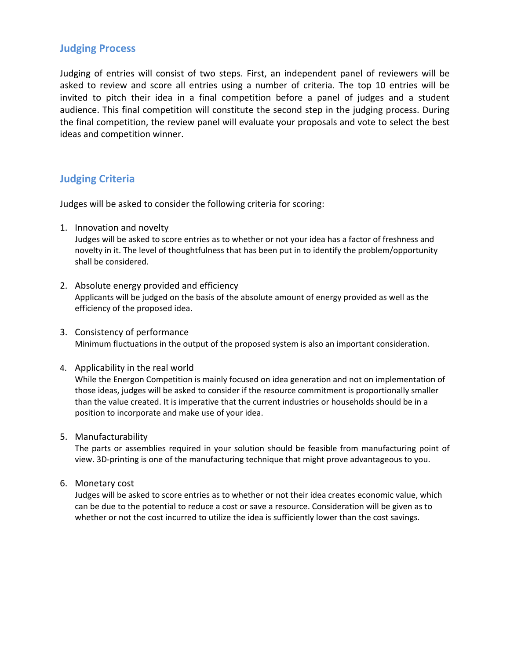## **Judging Process**

Judging of entries will consist of two steps. First, an independent panel of reviewers will be asked to review and score all entries using a number of criteria. The top 10 entries will be invited to pitch their idea in a final competition before a panel of judges and a student audience. This final competition will constitute the second step in the judging process. During the final competition, the review panel will evaluate your proposals and vote to select the best ideas and competition winner.

## **Judging Criteria**

Judges will be asked to consider the following criteria for scoring:

1. Innovation and novelty

Judges will be asked to score entries as to whether or not your idea has a factor of freshness and novelty in it. The level of thoughtfulness that has been put in to identify the problem/opportunity shall be considered.

- 2. Absolute energy provided and efficiency Applicants will be judged on the basis of the absolute amount of energy provided as well as the efficiency of the proposed idea.
- 3. Consistency of performance Minimum fluctuations in the output of the proposed system is also an important consideration.
- 4. Applicability in the real world

While the Energon Competition is mainly focused on idea generation and not on implementation of those ideas, judges will be asked to consider if the resource commitment is proportionally smaller than the value created. It is imperative that the current industries or households should be in a position to incorporate and make use of your idea.

5. Manufacturability

The parts or assemblies required in your solution should be feasible from manufacturing point of view. 3D-printing is one of the manufacturing technique that might prove advantageous to you.

6. Monetary cost

Judges will be asked to score entries as to whether or not their idea creates economic value, which can be due to the potential to reduce a cost or save a resource. Consideration will be given as to whether or not the cost incurred to utilize the idea is sufficiently lower than the cost savings.